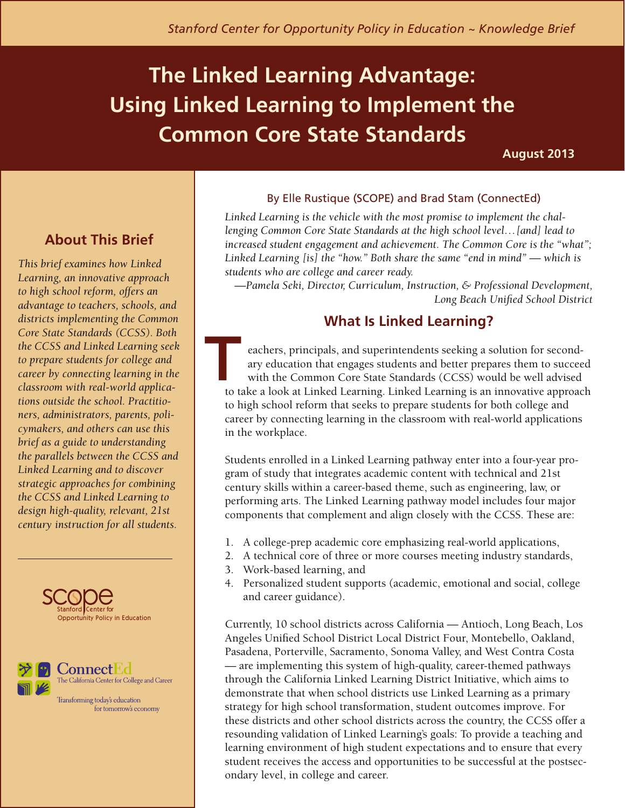# **The Linked Learning Advantage: Using Linked Learning to Implement the Common Core State Standards**

**August 2013**

# **About This Brief**

*This brief examines how Linked Learning, an innovative approach to high school reform, offers an advantage to teachers, schools, and districts implementing the Common Core State Standards (CCSS). Both the CCSS and Linked Learning seek to prepare students for college and career by connecting learning in the classroom with real-world applications outside the school. Practitioners, administrators, parents, policymakers, and others can use this brief as a guide to understanding the parallels between the CCSS and Linked Learning and to discover strategic approaches for combining the CCSS and Linked Learning to design high-quality, relevant, 21st century instruction for all students.* 





Transforming today's education for tomorrow's economy

#### By Elle Rustique (SCOPE) and Brad Stam (ConnectEd)

*Linked Learning is the vehicle with the most promise to implement the challenging Common Core State Standards at the high school level…[and] lead to increased student engagement and achievement. The Common Core is the "what"; Linked Learning [is] the "how." Both share the same "end in mind" — which is students who are college and career ready.* 

*—Pamela Seki, Director, Curriculum, Instruction, & Professional Development, Long Beach Unified School District*

### **What Is Linked Learning?**

eachers, principals, and superintendents seeking a solution for secondary education that engages students and better prepares them to succeed with the Common Core State Standards (CCSS) would be well advised to take a look at Linked Learning. Linked Learning is an innovative approach to high school reform that seeks to prepare students for both college and career by connecting learning in the classroom with real-world applications in the workplace. **T** 

Students enrolled in a Linked Learning pathway enter into a four-year program of study that integrates academic content with technical and 21st century skills within a career-based theme, such as engineering, law, or performing arts. The Linked Learning pathway model includes four major components that complement and align closely with the CCSS. These are:

- 1. A college-prep academic core emphasizing real-world applications,
- 2. A technical core of three or more courses meeting industry standards,
- 3. Work-based learning, and
- 4. Personalized student supports (academic, emotional and social, college and career guidance).

Currently, 10 school districts across California — Antioch, Long Beach, Los Angeles Unified School District Local District Four, Montebello, Oakland, Pasadena, Porterville, Sacramento, Sonoma Valley, and West Contra Costa — are implementing this system of high-quality, career-themed pathways through the California Linked Learning District Initiative, which aims to demonstrate that when school districts use Linked Learning as a primary strategy for high school transformation, student outcomes improve. For these districts and other school districts across the country, the CCSS offer a resounding validation of Linked Learning's goals: To provide a teaching and learning environment of high student expectations and to ensure that every student receives the access and opportunities to be successful at the postsecondary level, in college and career.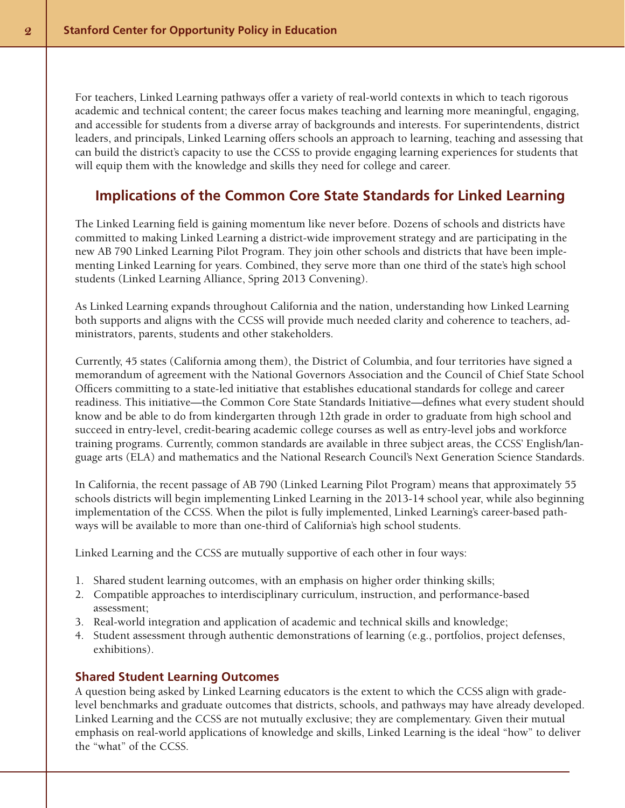For teachers, Linked Learning pathways offer a variety of real-world contexts in which to teach rigorous academic and technical content; the career focus makes teaching and learning more meaningful, engaging, and accessible for students from a diverse array of backgrounds and interests. For superintendents, district leaders, and principals, Linked Learning offers schools an approach to learning, teaching and assessing that can build the district's capacity to use the CCSS to provide engaging learning experiences for students that will equip them with the knowledge and skills they need for college and career.

#### **Implications of the Common Core State Standards for Linked Learning**

The Linked Learning field is gaining momentum like never before. Dozens of schools and districts have committed to making Linked Learning a district-wide improvement strategy and are participating in the new AB 790 Linked Learning Pilot Program. They join other schools and districts that have been implementing Linked Learning for years. Combined, they serve more than one third of the state's high school students (Linked Learning Alliance, Spring 2013 Convening).

As Linked Learning expands throughout California and the nation, understanding how Linked Learning both supports and aligns with the CCSS will provide much needed clarity and coherence to teachers, administrators, parents, students and other stakeholders.

Currently, 45 states (California among them), the District of Columbia, and four territories have signed a memorandum of agreement with the National Governors Association and the Council of Chief State School Officers committing to a state-led initiative that establishes educational standards for college and career readiness. This initiative—the Common Core State Standards Initiative—defines what every student should know and be able to do from kindergarten through 12th grade in order to graduate from high school and succeed in entry-level, credit-bearing academic college courses as well as entry-level jobs and workforce training programs. Currently, common standards are available in three subject areas, the CCSS' English/language arts (ELA) and mathematics and the National Research Council's Next Generation Science Standards.

In California, the recent passage of AB 790 (Linked Learning Pilot Program) means that approximately 55 schools districts will begin implementing Linked Learning in the 2013-14 school year, while also beginning implementation of the CCSS. When the pilot is fully implemented, Linked Learning's career-based pathways will be available to more than one-third of California's high school students.

Linked Learning and the CCSS are mutually supportive of each other in four ways:

- 1. Shared student learning outcomes, with an emphasis on higher order thinking skills;
- 2. Compatible approaches to interdisciplinary curriculum, instruction, and performance-based assessment;
- 3. Real-world integration and application of academic and technical skills and knowledge;
- 4. Student assessment through authentic demonstrations of learning (e.g., portfolios, project defenses, exhibitions).

#### **Shared Student Learning Outcomes**

A question being asked by Linked Learning educators is the extent to which the CCSS align with gradelevel benchmarks and graduate outcomes that districts, schools, and pathways may have already developed. Linked Learning and the CCSS are not mutually exclusive; they are complementary. Given their mutual emphasis on real-world applications of knowledge and skills, Linked Learning is the ideal "how" to deliver the "what" of the CCSS.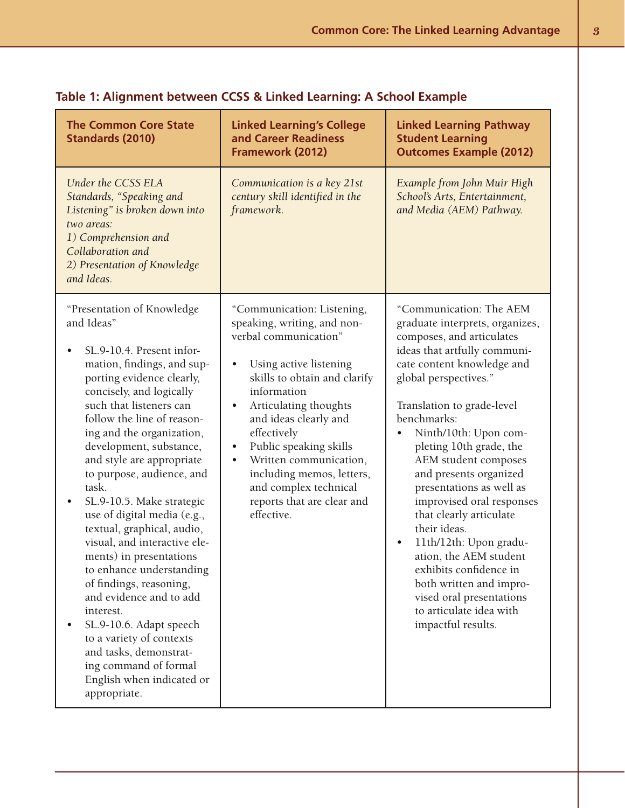| <b>The Common Core State</b><br><b>Standards (2010)</b>                                                                                                                                                                                                                                                                                                                                                                                                                                                                                                                                                                                                                                                                                                                  | <b>Linked Learning's College</b><br>and Career Readiness<br>Framework (2012)                                                                                                                                                                                                                                                                                                                                                           | <b>Linked Learning Pathway</b><br><b>Student Learning</b><br><b>Outcomes Example (2012)</b>                                                                                                                                                                                                                                                                                                                                                                                                                                                                                                                                              |
|--------------------------------------------------------------------------------------------------------------------------------------------------------------------------------------------------------------------------------------------------------------------------------------------------------------------------------------------------------------------------------------------------------------------------------------------------------------------------------------------------------------------------------------------------------------------------------------------------------------------------------------------------------------------------------------------------------------------------------------------------------------------------|----------------------------------------------------------------------------------------------------------------------------------------------------------------------------------------------------------------------------------------------------------------------------------------------------------------------------------------------------------------------------------------------------------------------------------------|------------------------------------------------------------------------------------------------------------------------------------------------------------------------------------------------------------------------------------------------------------------------------------------------------------------------------------------------------------------------------------------------------------------------------------------------------------------------------------------------------------------------------------------------------------------------------------------------------------------------------------------|
| Under the CCSS ELA<br>Standards, "Speaking and<br>Listening" is broken down into<br>two areas:<br>1) Comprehension and<br>Collaboration and<br>2) Presentation of Knowledge<br>and Ideas.                                                                                                                                                                                                                                                                                                                                                                                                                                                                                                                                                                                | Communication is a key 21st<br>century skill identified in the<br>framework.                                                                                                                                                                                                                                                                                                                                                           | Example from John Muir High<br>School's Arts, Entertainment,<br>and Media (AEM) Pathway.                                                                                                                                                                                                                                                                                                                                                                                                                                                                                                                                                 |
| "Presentation of Knowledge<br>and Ideas"<br>SL.9-10.4. Present infor-<br>$\bullet$<br>mation, findings, and sup-<br>porting evidence clearly,<br>concisely, and logically<br>such that listeners can<br>follow the line of reason-<br>ing and the organization,<br>development, substance,<br>and style are appropriate<br>to purpose, audience, and<br>task.<br>SL.9-10.5. Make strategic<br>use of digital media (e.g.,<br>textual, graphical, audio,<br>visual, and interactive ele-<br>ments) in presentations<br>to enhance understanding<br>of findings, reasoning,<br>and evidence and to add<br>interest.<br>SL.9-10.6. Adapt speech<br>to a variety of contexts<br>and tasks, demonstrat-<br>ing command of formal<br>English when indicated or<br>appropriate. | "Communication: Listening,<br>speaking, writing, and non-<br>verbal communication"<br>Using active listening<br>$\bullet$<br>skills to obtain and clarify<br>information<br>Articulating thoughts<br>$\bullet$<br>and ideas clearly and<br>effectively<br>Public speaking skills<br>$\bullet$<br>Written communication,<br>$\bullet$<br>including memos, letters,<br>and complex technical<br>reports that are clear and<br>effective. | "Communication: The AEM<br>graduate interprets, organizes,<br>composes, and articulates<br>ideas that artfully communi-<br>cate content knowledge and<br>global perspectives."<br>Translation to grade-level<br>benchmarks:<br>Ninth/10th: Upon com-<br>pleting 10th grade, the<br>AEM student composes<br>and presents organized<br>presentations as well as<br>improvised oral responses<br>that clearly articulate<br>their ideas.<br>11th/12th: Upon gradu-<br>$\bullet$<br>ation, the AEM student<br>exhibits confidence in<br>both written and impro-<br>vised oral presentations<br>to articulate idea with<br>impactful results. |

## **Table 1: Alignment between CCSS & Linked Learning: A School Example**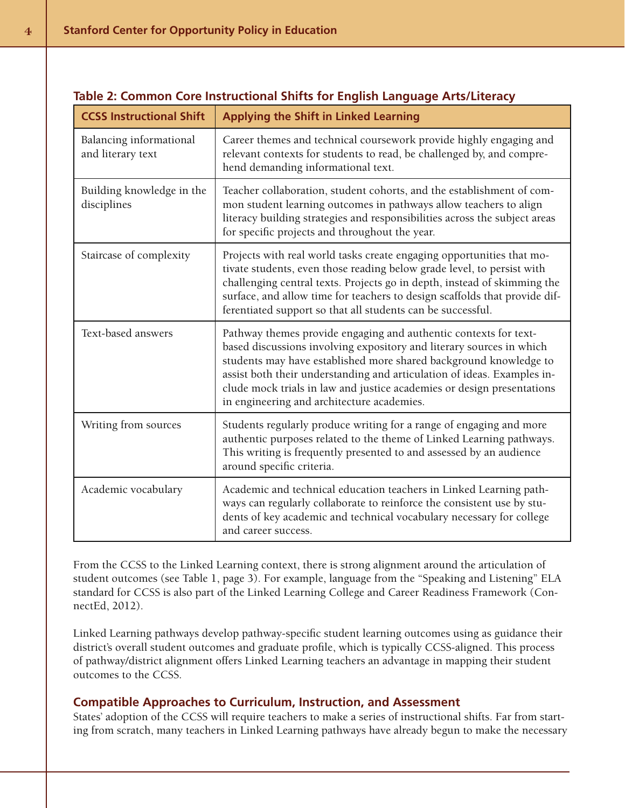| <b>CCSS Instructional Shift</b>              | <b>Applying the Shift in Linked Learning</b>                                                                                                                                                                                                                                                                                                                                                                     |  |
|----------------------------------------------|------------------------------------------------------------------------------------------------------------------------------------------------------------------------------------------------------------------------------------------------------------------------------------------------------------------------------------------------------------------------------------------------------------------|--|
| Balancing informational<br>and literary text | Career themes and technical coursework provide highly engaging and<br>relevant contexts for students to read, be challenged by, and compre-<br>hend demanding informational text.                                                                                                                                                                                                                                |  |
| Building knowledge in the<br>disciplines     | Teacher collaboration, student cohorts, and the establishment of com-<br>mon student learning outcomes in pathways allow teachers to align<br>literacy building strategies and responsibilities across the subject areas<br>for specific projects and throughout the year.                                                                                                                                       |  |
| Staircase of complexity                      | Projects with real world tasks create engaging opportunities that mo-<br>tivate students, even those reading below grade level, to persist with<br>challenging central texts. Projects go in depth, instead of skimming the<br>surface, and allow time for teachers to design scaffolds that provide dif-<br>ferentiated support so that all students can be successful.                                         |  |
| Text-based answers                           | Pathway themes provide engaging and authentic contexts for text-<br>based discussions involving expository and literary sources in which<br>students may have established more shared background knowledge to<br>assist both their understanding and articulation of ideas. Examples in-<br>clude mock trials in law and justice academies or design presentations<br>in engineering and architecture academies. |  |
| Writing from sources                         | Students regularly produce writing for a range of engaging and more<br>authentic purposes related to the theme of Linked Learning pathways.<br>This writing is frequently presented to and assessed by an audience<br>around specific criteria.                                                                                                                                                                  |  |
| Academic vocabulary                          | Academic and technical education teachers in Linked Learning path-<br>ways can regularly collaborate to reinforce the consistent use by stu-<br>dents of key academic and technical vocabulary necessary for college<br>and career success.                                                                                                                                                                      |  |

#### **Table 2: Common Core Instructional Shifts for English Language Arts/Literacy**

From the CCSS to the Linked Learning context, there is strong alignment around the articulation of student outcomes (see Table 1, page 3). For example, language from the "Speaking and Listening" ELA standard for CCSS is also part of the Linked Learning College and Career Readiness Framework (ConnectEd, 2012).

Linked Learning pathways develop pathway-specific student learning outcomes using as guidance their district's overall student outcomes and graduate profile, which is typically CCSS-aligned. This process of pathway/district alignment offers Linked Learning teachers an advantage in mapping their student outcomes to the CCSS.

#### **Compatible Approaches to Curriculum, Instruction, and Assessment**

States' adoption of the CCSS will require teachers to make a series of instructional shifts. Far from starting from scratch, many teachers in Linked Learning pathways have already begun to make the necessary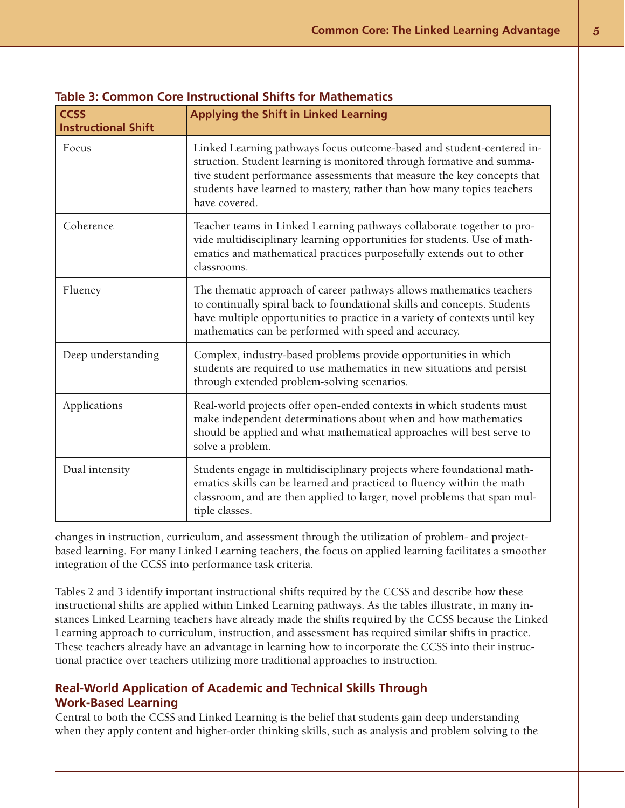| <b>CCSS</b><br><b>Instructional Shift</b> | <b>Applying the Shift in Linked Learning</b>                                                                                                                                                                                                                                                                         |
|-------------------------------------------|----------------------------------------------------------------------------------------------------------------------------------------------------------------------------------------------------------------------------------------------------------------------------------------------------------------------|
| Focus                                     | Linked Learning pathways focus outcome-based and student-centered in-<br>struction. Student learning is monitored through formative and summa-<br>tive student performance assessments that measure the key concepts that<br>students have learned to mastery, rather than how many topics teachers<br>have covered. |
| Coherence                                 | Teacher teams in Linked Learning pathways collaborate together to pro-<br>vide multidisciplinary learning opportunities for students. Use of math-<br>ematics and mathematical practices purposefully extends out to other<br>classrooms.                                                                            |
| Fluency                                   | The thematic approach of career pathways allows mathematics teachers<br>to continually spiral back to foundational skills and concepts. Students<br>have multiple opportunities to practice in a variety of contexts until key<br>mathematics can be performed with speed and accuracy.                              |
| Deep understanding                        | Complex, industry-based problems provide opportunities in which<br>students are required to use mathematics in new situations and persist<br>through extended problem-solving scenarios.                                                                                                                             |
| Applications                              | Real-world projects offer open-ended contexts in which students must<br>make independent determinations about when and how mathematics<br>should be applied and what mathematical approaches will best serve to<br>solve a problem.                                                                                  |
| Dual intensity                            | Students engage in multidisciplinary projects where foundational math-<br>ematics skills can be learned and practiced to fluency within the math<br>classroom, and are then applied to larger, novel problems that span mul-<br>tiple classes.                                                                       |

#### **Table 3: Common Core Instructional Shifts for Mathematics**

changes in instruction, curriculum, and assessment through the utilization of problem- and projectbased learning. For many Linked Learning teachers, the focus on applied learning facilitates a smoother integration of the CCSS into performance task criteria.

Tables 2 and 3 identify important instructional shifts required by the CCSS and describe how these instructional shifts are applied within Linked Learning pathways. As the tables illustrate, in many instances Linked Learning teachers have already made the shifts required by the CCSS because the Linked Learning approach to curriculum, instruction, and assessment has required similar shifts in practice. These teachers already have an advantage in learning how to incorporate the CCSS into their instructional practice over teachers utilizing more traditional approaches to instruction.

#### **Real-World Application of Academic and Technical Skills Through Work-Based Learning**

Central to both the CCSS and Linked Learning is the belief that students gain deep understanding when they apply content and higher-order thinking skills, such as analysis and problem solving to the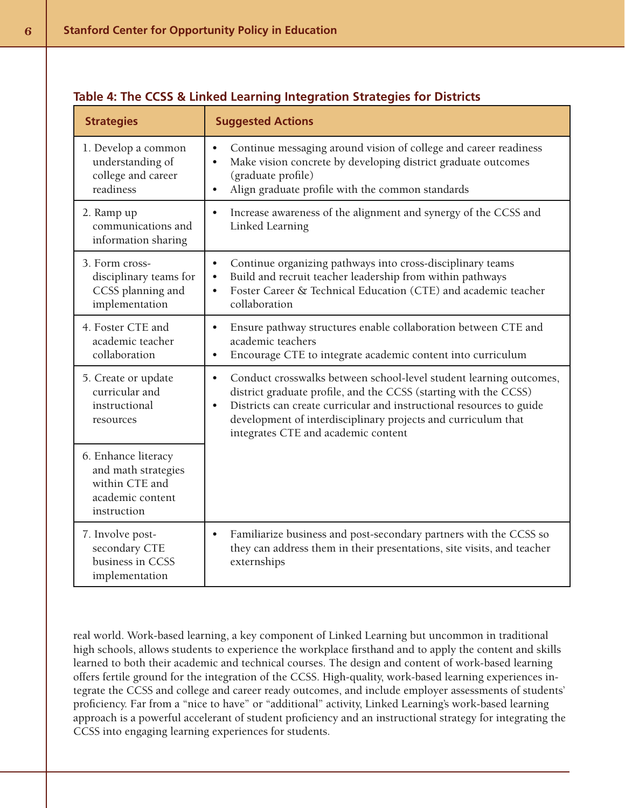| <b>Strategies</b>                                                                               | <b>Suggested Actions</b>                                                                                                                                                                                                                                                                                                                         |  |
|-------------------------------------------------------------------------------------------------|--------------------------------------------------------------------------------------------------------------------------------------------------------------------------------------------------------------------------------------------------------------------------------------------------------------------------------------------------|--|
| 1. Develop a common<br>understanding of<br>college and career<br>readiness                      | Continue messaging around vision of college and career readiness<br>$\bullet$<br>Make vision concrete by developing district graduate outcomes<br>$\bullet$<br>(graduate profile)<br>Align graduate profile with the common standards<br>$\bullet$                                                                                               |  |
| 2. Ramp up<br>communications and<br>information sharing                                         | Increase awareness of the alignment and synergy of the CCSS and<br>$\bullet$<br>Linked Learning                                                                                                                                                                                                                                                  |  |
| 3. Form cross-<br>disciplinary teams for<br>CCSS planning and<br>implementation                 | Continue organizing pathways into cross-disciplinary teams<br>$\bullet$<br>Build and recruit teacher leadership from within pathways<br>$\bullet$<br>Foster Career & Technical Education (CTE) and academic teacher<br>$\bullet$<br>collaboration                                                                                                |  |
| 4. Foster CTE and<br>academic teacher<br>collaboration                                          | Ensure pathway structures enable collaboration between CTE and<br>$\bullet$<br>academic teachers<br>Encourage CTE to integrate academic content into curriculum<br>$\bullet$                                                                                                                                                                     |  |
| 5. Create or update<br>curricular and<br>instructional<br>resources                             | Conduct crosswalks between school-level student learning outcomes,<br>$\bullet$<br>district graduate profile, and the CCSS (starting with the CCSS)<br>Districts can create curricular and instructional resources to guide<br>$\bullet$<br>development of interdisciplinary projects and curriculum that<br>integrates CTE and academic content |  |
| 6. Enhance literacy<br>and math strategies<br>within CTE and<br>academic content<br>instruction |                                                                                                                                                                                                                                                                                                                                                  |  |
| 7. Involve post-<br>secondary CTE<br>business in CCSS<br>implementation                         | Familiarize business and post-secondary partners with the CCSS so<br>$\bullet$<br>they can address them in their presentations, site visits, and teacher<br>externships                                                                                                                                                                          |  |

#### **Table 4: The CCSS & Linked Learning Integration Strategies for Districts**

real world. Work-based learning, a key component of Linked Learning but uncommon in traditional high schools, allows students to experience the workplace firsthand and to apply the content and skills learned to both their academic and technical courses. The design and content of work-based learning offers fertile ground for the integration of the CCSS. High-quality, work-based learning experiences integrate the CCSS and college and career ready outcomes, and include employer assessments of students' proficiency. Far from a "nice to have" or "additional" activity, Linked Learning's work-based learning approach is a powerful accelerant of student proficiency and an instructional strategy for integrating the CCSS into engaging learning experiences for students.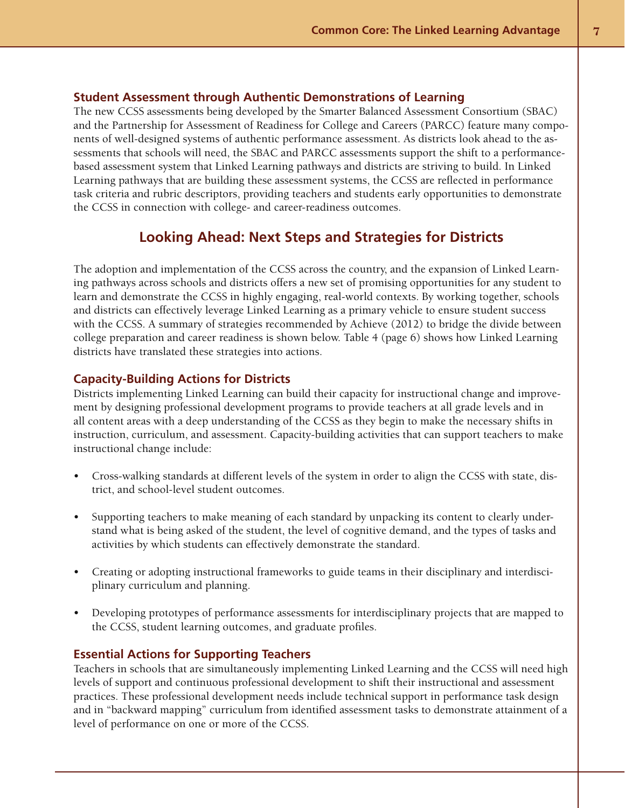#### **Student Assessment through Authentic Demonstrations of Learning**

The new CCSS assessments being developed by the Smarter Balanced Assessment Consortium (SBAC) and the Partnership for Assessment of Readiness for College and Careers (PARCC) feature many components of well-designed systems of authentic performance assessment. As districts look ahead to the assessments that schools will need, the SBAC and PARCC assessments support the shift to a performancebased assessment system that Linked Learning pathways and districts are striving to build. In Linked Learning pathways that are building these assessment systems, the CCSS are reflected in performance task criteria and rubric descriptors, providing teachers and students early opportunities to demonstrate the CCSS in connection with college- and career-readiness outcomes.

#### **Looking Ahead: Next Steps and Strategies for Districts**

The adoption and implementation of the CCSS across the country, and the expansion of Linked Learning pathways across schools and districts offers a new set of promising opportunities for any student to learn and demonstrate the CCSS in highly engaging, real-world contexts. By working together, schools and districts can effectively leverage Linked Learning as a primary vehicle to ensure student success with the CCSS. A summary of strategies recommended by Achieve (2012) to bridge the divide between college preparation and career readiness is shown below. Table 4 (page 6) shows how Linked Learning districts have translated these strategies into actions.

#### **Capacity-Building Actions for Districts**

Districts implementing Linked Learning can build their capacity for instructional change and improvement by designing professional development programs to provide teachers at all grade levels and in all content areas with a deep understanding of the CCSS as they begin to make the necessary shifts in instruction, curriculum, and assessment. Capacity-building activities that can support teachers to make instructional change include:

- • Cross-walking standards at different levels of the system in order to align the CCSS with state, district, and school-level student outcomes.
- Supporting teachers to make meaning of each standard by unpacking its content to clearly understand what is being asked of the student, the level of cognitive demand, and the types of tasks and activities by which students can effectively demonstrate the standard.
- • Creating or adopting instructional frameworks to guide teams in their disciplinary and interdisciplinary curriculum and planning.
- Developing prototypes of performance assessments for interdisciplinary projects that are mapped to the CCSS, student learning outcomes, and graduate profiles.

#### **Essential Actions for Supporting Teachers**

Teachers in schools that are simultaneously implementing Linked Learning and the CCSS will need high levels of support and continuous professional development to shift their instructional and assessment practices. These professional development needs include technical support in performance task design and in "backward mapping" curriculum from identified assessment tasks to demonstrate attainment of a level of performance on one or more of the CCSS.